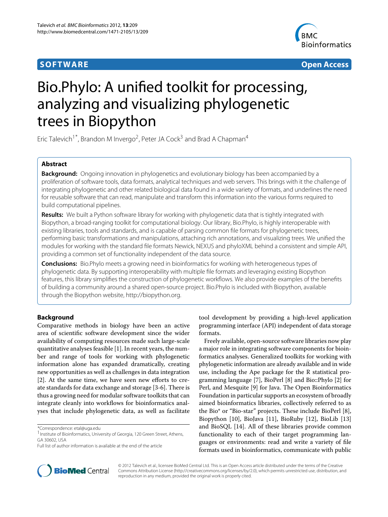## **SOFTWARE Open Access**



# Bio.Phylo: A unified toolkit for processing, analyzing and visualizing phylogenetic trees in Biopython

Eric Talevich<sup>1\*</sup>, Brandon M Invergo<sup>2</sup>, Peter JA Cock<sup>3</sup> and Brad A Chapman<sup>4</sup>

## **Abstract**

**Background:** Ongoing innovation in phylogenetics and evolutionary biology has been accompanied by a proliferation of software tools, data formats, analytical techniques and web servers. This brings with it the challenge of integrating phylogenetic and other related biological data found in a wide variety of formats, and underlines the need for reusable software that can read, manipulate and transform this information into the various forms required to build computational pipelines.

**Results:** We built a Python software library for working with phylogenetic data that is tightly integrated with Biopython, a broad-ranging toolkit for computational biology. Our library, Bio.Phylo, is highly interoperable with existing libraries, tools and standards, and is capable of parsing common file formats for phylogenetic trees, performing basic transformations and manipulations, attaching rich annotations, and visualizing trees. We unified the modules for working with the standard file formats Newick, NEXUS and phyloXML behind a consistent and simple API, providing a common set of functionality independent of the data source.

**Conclusions:** Bio.Phylo meets a growing need in bioinformatics for working with heterogeneous types of phylogenetic data. By supporting interoperability with multiple file formats and leveraging existing Biopython features, this library simplifies the construction of phylogenetic workflows. We also provide examples of the benefits of building a community around a shared open-source project. Bio.Phylo is included with Biopython, available through the Biopython website, [http://biopython.org.](http://biopython.org)

## **Background**

Comparative methods in biology have been an active area of scientific software development since the wider availability of computing resources made such large-scale quantitative analyses feasible [\[1\]](#page-7-0). In recent years, the number and range of tools for working with phylogenetic information alone has expanded dramatically, creating new opportunities as well as challenges in data integration [\[2\]](#page-7-1). At the same time, we have seen new efforts to create standards for data exchange and storage [\[3](#page-7-2)[-6\]](#page-7-3). There is thus a growing need for modular software toolkits that can integrate cleanly into workflows for bioinformatics analyses that include phylogenetic data, as well as facilitate

\*Correspondence: etal@uga.edu

tool development by providing a high-level application programming interface (API) independent of data storage formats.

Freely available, open-source software libraries now play a major role in integrating software components for bioinformatics analyses. Generalized toolkits for working with phylogenetic information are already available and in wide use, including the Ape package for the R statistical programming language [\[7\]](#page-7-4), BioPerl [\[8\]](#page-7-5) and Bio::Phylo [\[2\]](#page-7-1) for Perl, and Mesquite [\[9\]](#page-7-6) for Java. The Open Bioinformatics Foundation in particular supports an ecosystem of broadly aimed bioinformatics libraries, collectively referred to as the Bio\* or "Bio-star" projects. These include BioPerl [\[8\]](#page-7-5), Biopython [\[10\]](#page-7-7), BioJava [\[11\]](#page-7-8), BioRuby [\[12\]](#page-7-9), BioLib [\[13\]](#page-7-10) and BioSQL [\[14\]](#page-7-11). All of these libraries provide common functionality to each of their target programming languages or environments: read and write a variety of file formats used in bioinformatics, communicate with public



© 2012 Talevich et al.; licensee BioMed Central Ltd. This is an Open Access article distributed under the terms of the Creative Commons Attribution License (http://creativecommons.org/licenses/by/2.0), which permits unrestricted use, distribution, and reproduction in any medium, provided the original work is properly cited.

<sup>&</sup>lt;sup>1</sup> Institute of Bioinformatics, University of Georgia, 120 Green Street, Athens, GA 30602, USA

Full list of author information is available at the end of the article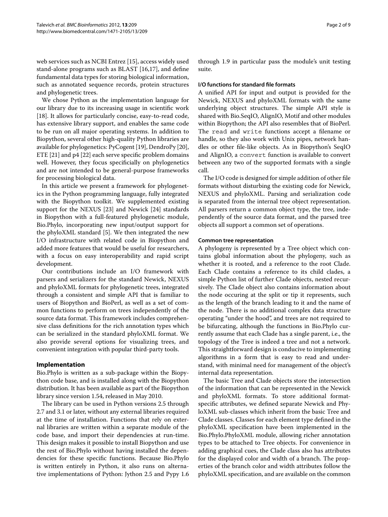web services such as NCBI Entrez [\[15\]](#page-7-12), access widely used stand-alone programs such as BLAST [\[16](#page-7-13)[,17\]](#page-7-14), and define fundamental data types for storing biological information, such as annotated sequence records, protein structures and phylogenetic trees.

We chose Python as the implementation language for our library due to its increasing usage in scientific work [\[18\]](#page-7-15). It allows for particularly concise, easy-to-read code, has extensive library support, and enables the same code to be run on all major operating systems. In addition to Biopython, several other high-quality Python libraries are available for phylogenetics: PyCogent [\[19\]](#page-7-16), DendroPy [\[20\]](#page-7-17), ETE [\[21\]](#page-7-18) and p4 [\[22\]](#page-7-19) each serve specific problem domains well. However, they focus specificially on phylogenetics and are not intended to be general-purpose frameworks for processing biological data.

In this article we present a framework for phylogenetics in the Python programming language, fully integrated with the Biopython toolkit. We supplemented existing support for the NEXUS [\[23\]](#page-7-20) and Newick [\[24\]](#page-8-0) standards in Biopython with a full-featured phylogenetic module, Bio.Phylo, incorporating new input/output support for the phyloXML standard [\[5\]](#page-7-21). We then integrated the new I/O infrastructure with related code in Biopython and added more features that would be useful for researchers, with a focus on easy interoperability and rapid script development.

Our contributions include an I/O framework with parsers and serializers for the standard Newick, NEXUS and phyloXML formats for phylogenetic trees, integrated through a consistent and simple API that is familiar to users of Biopython and BioPerl, as well as a set of common functions to perform on trees independently of the source data format. This framework includes comprehensive class definitions for the rich annotation types which can be serialized in the standard phyloXML format. We also provide several options for visualizing trees, and convenient integration with popular third-party tools.

## **Implementation**

Bio.Phylo is written as a sub-package within the Biopython code base, and is installed along with the Biopython distribution. It has been available as part of the Biopython library since version 1.54, released in May 2010.

The library can be used in Python versions 2.5 through 2.7 and 3.1 or later, without any external libraries required at the time of installation. Functions that rely on external libraries are written within a separate module of the code base, and import their dependencies at run-time. This design makes it possible to install Biopython and use the rest of Bio.Phylo without having installed the dependencies for these specific functions. Because Bio.Phylo is written entirely in Python, it also runs on alternative implementations of Python: Jython 2.5 and Pypy 1.6

through 1.9 in particular pass the module's unit testing suite.

## **I/O functions for standard file formats**

A unified API for input and output is provided for the Newick, NEXUS and phyloXML formats with the same underlying object structures. The simple API style is shared with Bio.SeqIO, AlignIO, Motif and other modules within Biopython; the API also resembles that of BioPerl. The read and write functions accept a filename or handle, so they also work with Unix pipes, network handles or other file-like objects. As in Biopython's SeqIO and AlignIO, a convert function is available to convert between any two of the supported formats with a single call.

The I/O code is designed for simple addition of other file formats without disturbing the existing code for Newick, NEXUS and phyloXML. Parsing and serialization code is separated from the internal tree object representation. All parsers return a common object type, the tree, independently of the source data format, and the parsed tree objects all support a common set of operations.

#### **Common tree representation**

A phylogeny is represented by a Tree object which contains global information about the phylogeny, such as whether it is rooted, and a reference to the root Clade. Each Clade contains a reference to its child clades, a simple Python list of further Clade objects, nested recursively. The Clade object also contains information about the node occuring at the split or tip it represents, such as the length of the branch leading to it and the name of the node. There is no additional complex data structure operating "under the hood", and trees are not required to be bifurcating, although the functions in Bio.Phylo currently assume that each Clade has a single parent, i.e., the topology of the Tree is indeed a tree and not a network. This straightforward design is conducive to implementing algorithms in a form that is easy to read and understand, with minimal need for management of the object's internal data representation.

The basic Tree and Clade objects store the intersection of the information that can be represented in the Newick and phyloXML formats. To store additional formatspecific attributes, we defined separate Newick and PhyloXML sub-classes which inherit from the basic Tree and Clade classes. Classes for each element type defined in the phyloXML specification have been implemented in the Bio.Phylo.PhyloXML module, allowing richer annotation types to be attached to Tree objects. For convenience in adding graphical cues, the Clade class also has attributes for the displayed color and width of a branch. The properties of the branch color and width attributes follow the phyloXML specification, and are available on the common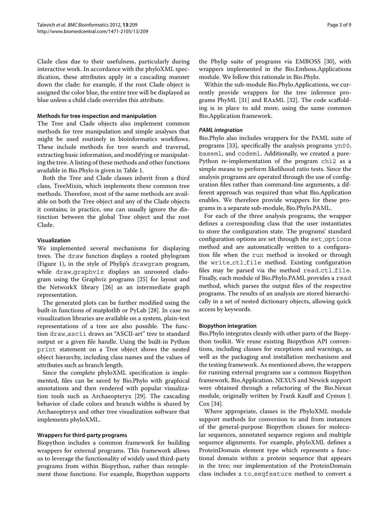Clade class due to their usefulness, particularly during interactive work. In accordance with the phyloXML specification, these attributes apply in a cascading manner down the clade: for example, if the root Clade object is assigned the color blue, the entire tree will be displayed as blue unless a child clade overrides this attribute.

#### **Methods for tree inspection and manipulation**

The Tree and Clade objects also implement common methods for tree manipulation and simple analyses that might be used routinely in bioinformatics workflows. These include methods for tree search and traversal, extracting basic information, and modifying or manipulating the tree. A listing of these methods and other functions available in Bio.Phylo is given in Table [1.](#page-3-0)

Both the Tree and Clade classes inherit from a third class, TreeMixin, which implements these common tree methods. Therefore, most of the same methods are available on both the Tree object and any of the Clade objects it contains; in practice, one can usually ignore the distinction between the global Tree object and the root Clade.

## **Visualization**

We implemented several mechanisms for displaying trees. The draw function displays a rooted phylogram (Figure [1\)](#page-4-0), in the style of Phylip's drawgram program, while draw graphviz displays an unrooted cladogram using the Graphviz programs [\[25\]](#page-8-1) for layout and the NetworkX library [\[26\]](#page-8-2) as an intermediate graph representation.

The generated plots can be further modified using the built-in functions of matplotlib or PyLab [\[28\]](#page-8-3). In case no visualization libraries are available on a system, plain-text representations of a tree are also possible. The function draw ascii draws an "ASCII-art" tree to standard output or a given file handle. Using the built-in Python print statement on a Tree object shows the nested object hierarchy, including class names and the values of attributes such as branch length.

Since the complete phyloXML specification is implemented, files can be saved by Bio.Phylo with graphical annotations and then rendered with popular visualization tools such as Archaeopteryx [\[29\]](#page-8-4). The cascading behavior of clade colors and branch widths is shared by Archaeopteryx and other tree visualization software that implements phyloXML.

## **Wrappers for third-party programs**

Biopython includes a common framework for building wrappers for external programs. This framework allows us to leverage the functionality of widely used third-party programs from within Biopython, rather than reimplement those functions. For example, Biopython supports the Phylip suite of programs via EMBOSS [\[30\]](#page-8-5), with wrappers implemented in the Bio.Emboss.Applications module. We follow this rationale in Bio.Phylo.

Within the sub-module Bio.Phylo.Applications, we currently provide wrappers for the tree inference programs PhyML [\[31\]](#page-8-6) and RAxML [\[32\]](#page-8-7). The code scaffolding is in place to add more, using the same common Bio.Application framework.

## *PAML integration*

Bio.Phylo also includes wrappers for the PAML suite of programs [\[33\]](#page-8-8), specifically the analysis programs yn00, baseml, and codeml. Additionally, we created a pure-Python re-implementation of the program chi2 as a simple means to perform likelihood ratio tests. Since the analysis programs are operated through the use of configuration files rather than command-line arguments, a different approach was required than what Bio.Application enables. We therefore provide wrappers for these programs in a separate sub-module, Bio.Phylo.PAML.

For each of the three analysis programs, the wrapper defines a corresponding class that the user instantiates to store the configuration state. The programs' standard configuration options are set through the set options method and are automatically written to a configuration file when the run method is invoked or through the write ctl file method. Existing configuration files may be parsed via the method read\_ctl\_file. Finally, each module of Bio.Phylo.PAML provides a read method, which parses the output files of the respective programs. The results of an analysis are stored hierarchically in a set of nested dictionary objects, allowing quick access by keywords.

## **Biopython integration**

Bio.Phylo integrates cleanly with other parts of the Biopython toolkit. We reuse existing Biopython API conventions, including classes for exceptions and warnings, as well as the packaging and installation mechanisms and the testing framework. As mentioned above, the wrappers for running external programs use a common Biopython framework, Bio.Application. NEXUS and Newick support were obtained through a refactoring of the Bio.Nexus module, originally written by Frank Kauff and Cymon J. Cox [\[34\]](#page-8-9).

Where appropriate, classes in the PhyloXML module support methods for conversion to and from instances of the general-purpose Biopython classes for molecular sequences, annotated sequence regions and multiple sequence alignments. For example, phyloXML defines a ProteinDomain element type which represents a functional domain within a protein sequence that appears in the tree; our implementation of the ProteinDomain class includes a to seqfeature method to convert a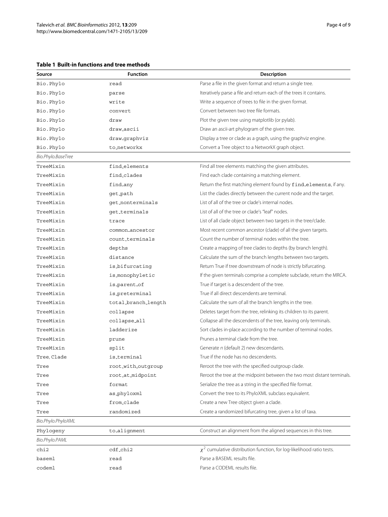**Table 1 Built-in functions and tree methods**

<span id="page-3-0"></span>

| Source             | <b>Function</b>     | <b>Description</b>                                                         |
|--------------------|---------------------|----------------------------------------------------------------------------|
| Bio.Phylo          | read                | Parse a file in the given format and return a single tree.                 |
| Bio.Phylo          | parse               | Iteratively parse a file and return each of the trees it contains.         |
| Bio.Phylo          | write               | Write a sequence of trees to file in the given format.                     |
| Bio.Phylo          | convert             | Convert between two tree file formats.                                     |
| Bio.Phylo          | draw                | Plot the given tree using matplotlib (or pylab).                           |
| Bio.Phylo          | draw_ascii          | Draw an ascii-art phylogram of the given tree.                             |
| Bio.Phylo          | draw_qraphviz       | Display a tree or clade as a graph, using the graphviz engine.             |
| Bio.Phylo          | to_networkx         | Convert a Tree object to a NetworkX graph object.                          |
| Bio.Phylo.BaseTree |                     |                                                                            |
| TreeMixin          | find_elements       | Find all tree elements matching the given attributes.                      |
| TreeMixin          | find_clades         | Find each clade containing a matching element.                             |
| TreeMixin          | find_any            | Return the first matching element found by find_elements, if any.          |
| TreeMixin          | get_path            | List the clades directly between the current node and the target.          |
| TreeMixin          | get_nonterminals    | List of all of the tree or clade's internal nodes.                         |
| TreeMixin          | get_terminals       | List of all of the tree or clade's "leaf" nodes.                           |
| TreeMixin          | trace               | List of all clade object between two targets in the tree/clade.            |
| TreeMixin          | common ancestor     | Most recent common ancestor (clade) of all the given targets.              |
| TreeMixin          | count_terminals     | Count the number of terminal nodes within the tree.                        |
| TreeMixin          | depths              | Create a mapping of tree clades to depths (by branch length).              |
| TreeMixin          | distance            | Calculate the sum of the branch lengths between two targets.               |
| TreeMixin          | is_bifurcating      | Return True if tree downstream of node is strictly bifurcating.            |
| TreeMixin          | is_monophyletic     | If the given terminals comprise a complete subclade, return the MRCA.      |
| TreeMixin          | is_parent_of        | True if target is a descendent of the tree.                                |
| TreeMixin          | is_preterminal      | True if all direct descendents are terminal.                               |
| TreeMixin          | total_branch_length | Calculate the sum of all the branch lengths in the tree.                   |
| TreeMixin          | collapse            | Deletes target from the tree, relinking its children to its parent.        |
| TreeMixin          | collapse_all        | Collapse all the descendents of the tree, leaving only terminals.          |
| TreeMixin          | ladderize           | Sort clades in-place according to the number of terminal nodes.            |
| TreeMixin          | prune               | Prunes a terminal clade from the tree.                                     |
| TreeMixin          | split               | Generate n (default 2) new descendants.                                    |
| Tree, Clade        | is_terminal         | True if the node has no descendents.                                       |
| Tree               | root_with_outgroup  | Reroot the tree with the specified outgroup clade.                         |
| Tree               | root_at_midpoint    | Reroot the tree at the midpoint between the two most distant terminals.    |
| Tree               | format              | Serialize the tree as a string in the specified file format.               |
| Tree               | as_phyloxml         | Convert the tree to its PhyloXML subclass equivalent.                      |
| Tree               | from_clade          | Create a new Tree object given a clade.                                    |
| Tree               | randomized          | Create a randomized bifurcating tree, given a list of taxa.                |
| Bio.Phylo.PhyloXML |                     |                                                                            |
| Phylogeny          | to_alignment        | Construct an alignment from the aligned sequences in this tree.            |
| Bio.Phylo.PAML     |                     |                                                                            |
| chi2               | cdf_chi2            | $\chi^2$ cumulative distribution function, for log-likelihood ratio tests. |
| baseml             | read                | Parse a BASEML results file.                                               |
| codeml             | read                | Parse a CODEML results file.                                               |
|                    |                     |                                                                            |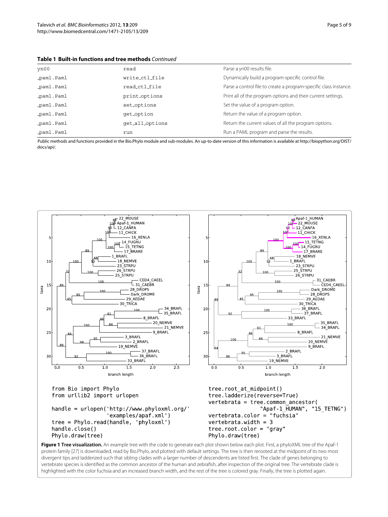#### **Table 1 Built-in functions and tree methods** *Continued*

| yn00       | read            | Parse a yn00 results file.                                        |
|------------|-----------------|-------------------------------------------------------------------|
| _paml.Paml | write_ctl_file  | Dynamically build a program-specific control file.                |
| _paml.Paml | read_ctl_file   | Parse a control file to create a program-specific class instance. |
| _paml.Paml | print_options   | Print all of the program options and their current settings.      |
| _paml.Paml | set_options     | Set the value of a program option.                                |
| _paml.Paml | qet_option      | Return the value of a program option.                             |
| _paml.Paml | qet_all_options | Return the current values of all the program options.             |
| _paml.Paml | run             | Run a PAML program and parse the results.                         |

Public methods and functions provided in the Bio.Phylo module and sub-modules. An up-to-date version of this information is available at [http://biopython.org/DIST/](http://biopython.org/DIST/docs/api/) [docs/api/.](http://biopython.org/DIST/docs/api/)



<span id="page-4-0"></span>protein family [\[27\]](#page-8-10) is downloaded, read by Bio.Phylo, and plotted with default settings. The tree is then rerooted at the midpoint of its two most divergent tips and ladderized such that sibling clades with a larger number of descendents are listed first. The clade of genes belonging to vertebrate species is identified as the common ancestor of the human and zebrafish, after inspection of the original tree. The vertebrate clade is highlighted with the color fuchsia and an increased branch width, and the rest of the tree is colored gray. Finally, the tree is plotted again.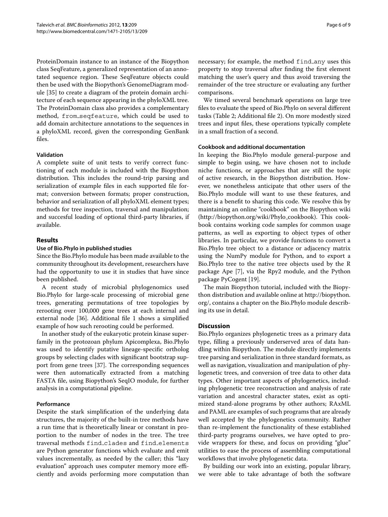ProteinDomain instance to an instance of the Biopython class SeqFeature, a generalized representation of an annotated sequence region. These SeqFeature objects could then be used with the Biopython's GenomeDiagram module [\[35\]](#page-8-11) to create a diagram of the protein domain architecture of each sequence appearing in the phyloXML tree. The ProteinDomain class also provides a complementary method, from seqfeature, which could be used to add domain architecture annotations to the sequences in a phyloXML record, given the corresponding GenBank files.

#### **Validation**

A complete suite of unit tests to verify correct functioning of each module is included with the Biopython distribution. This includes the round-trip parsing and serialization of example files in each supported file format; conversion between formats; proper construction, behavior and serialization of all phyloXML element types; methods for tree inspection, traversal and manipulation; and succesful loading of optional third-party libraries, if available.

## **Results**

#### **Use of Bio.Phylo in published studies**

Since the Bio.Phylo module has been made available to the community throughout its development, researchers have had the opportunity to use it in studies that have since been published.

A recent study of microbial phylogenomics used Bio.Phylo for large-scale processing of microbial gene trees, generating permutations of tree topologies by rerooting over 100,000 gene trees at each internal and external node [\[36\]](#page-8-12). Additional file [1](#page-7-22) shows a simplified example of how such rerooting could be performed.

In another study of the eukaryotic protein kinase superfamily in the protozoan phylum Apicomplexa, Bio.Phylo was used to identify putative lineage-specific ortholog groups by selecting clades with significant bootstrap support from gene trees [\[37\]](#page-8-13). The corresponding sequences were then automatically extracted from a matching FASTA file, using Biopython's SeqIO module, for further analysis in a computational pipeline.

#### **Performance**

Despite the stark simplification of the underlying data structures, the majority of the built-in tree methods have a run time that is theoretically linear or constant in proportion to the number of nodes in the tree. The tree traversal methods find clades and find elements are Python generator functions which evaluate and emit values incrementally, as needed by the caller; this "lazy evaluation" approach uses computer memory more efficiently and avoids performing more computation than necessary; for example, the method find any uses this property to stop traversal after finding the first element matching the user's query and thus avoid traversing the remainder of the tree structure or evaluating any further comparisons.

We timed several benchmark operations on large tree files to evaluate the speed of Bio.Phylo on several different tasks (Table [2;](#page-6-0) Additional file [2\)](#page-7-23). On more modestly sized trees and input files, these operations typically complete in a small fraction of a second.

#### **Cookbook and additional documentation**

In keeping the Bio.Phylo module general-purpose and simple to begin using, we have chosen not to include niche functions, or approaches that are still the topic of active research, in the Biopython distribution. However, we nonetheless anticipate that other users of the Bio.Phylo module will want to use these features, and there is a benefit to sharing this code. We resolve this by maintaining an online "cookbook" on the Biopython wiki [\(http://biopython.org/wiki/Phylo](http://biopython.org/wiki/Phylo_cookbook) cookbook). This cookbook contains working code samples for common usage patterns, as well as exporting to object types of other libraries. In particular, we provide functions to convert a Bio.Phylo tree object to a distance or adjacency matrix using the NumPy module for Python, and to export a Bio.Phylo tree to the native tree objects used by the R package Ape [\[7\]](#page-7-4), via the Rpy2 module, and the Python package PyCogent [\[19\]](#page-7-16).

The main Biopython tutorial, included with the Biopython distribution and available online at [http://biopython.](http://biopython.org/) [org/,](http://biopython.org/) contains a chapter on the Bio.Phylo module describing its use in detail.

#### **Discussion**

Bio.Phylo organizes phylogenetic trees as a primary data type, filling a previously underserved area of data handling within Biopython. The module directly implements tree parsing and serialization in three standard formats, as well as navigation, visualization and manipulation of phylogenetic trees, and conversion of tree data to other data types. Other important aspects of phylogenetics, including phylogenetic tree reconstruction and analysis of rate variation and ancestral character states, exist as optimized stand-alone programs by other authors; RAxML and PAML are examples of such programs that are already well accepted by the phylogenetics community. Rather than re-implement the functionality of these established third-party programs ourselves, we have opted to provide wrappers for these, and focus on providing "glue" utilities to ease the process of assembling computational workflows that involve phylogenetic data.

By building our work into an existing, popular library, we were able to take advantage of both the software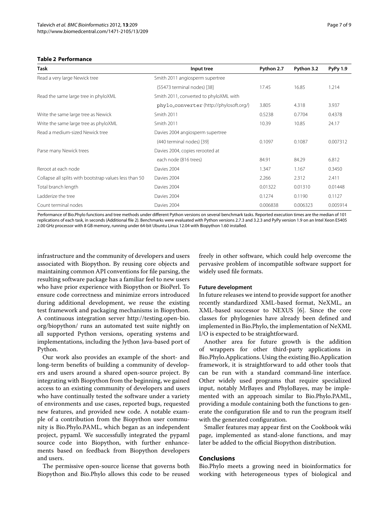#### <span id="page-6-0"></span>**Table 2 Performance**

| Task                                                   | Input tree                             | Python 2.7 | Python 3.2 | PyPy 1.9 |
|--------------------------------------------------------|----------------------------------------|------------|------------|----------|
| Read a very large Newick tree                          | Smith 2011 angiosperm supertree        |            |            |          |
|                                                        | (55473 terminal nodes) [38]            | 17.45      | 16.85      | 1.214    |
| Read the same large tree in phyloXML                   | Smith 2011, converted to phyloXML with |            |            |          |
|                                                        | phylo_converter(http://phylosoft.org/) | 3.805      | 4.318      | 3.937    |
| Write the same large tree as Newick                    | Smith 2011                             | 0.5238     | 0.7704     | 0.4378   |
| Write the same large tree as phyloXML                  | Smith 2011                             | 10.39      | 10.85      | 24.17    |
| Read a medium-sized Newick tree                        | Davies 2004 angiosperm supertree       |            |            |          |
|                                                        | (440 terminal nodes) [39]              | 0.1097     | 0.1087     | 0.007312 |
| Parse many Newick trees                                | Davies 2004, copies rerooted at        |            |            |          |
|                                                        | each node (816 trees)                  | 84.91      | 84.29      | 6.812    |
| Reroot at each node                                    | Davies 2004                            | 1.347      | 1.167      | 0.3450   |
| Collapse all splits with bootstrap values less than 50 | Davies 2004                            | 2.266      | 2.312      | 2.411    |
| Total branch length                                    | Davies 2004                            | 0.01322    | 0.01310    | 0.01448  |
| Ladderize the tree                                     | Davies 2004                            | 0.1274     | 0.1190     | 0.1127   |
| Count terminal nodes                                   | Davies 2004                            | 0.006838   | 0.006323   | 0.005914 |

Performance of Bio.Phylo functions and tree methods under different Python versions on several benchmark tasks. Reported execution times are the median of 101 replications of each task, in seconds (Additional file [2\)](#page-7-23). Benchmarks were evaluated with Python versions 2.7.3 and 3.2.3 and PyPy version 1.9 on an Intel Xeon E5405 2.00 GHz processor with 8 GB memory, running under 64-bit Ubuntu Linux 12.04 with Biopython 1.60 installed.

infrastructure and the community of developers and users associated with Biopython. By reusing core objects and maintaining common API conventions for file parsing, the resulting software package has a familiar feel to new users who have prior experience with Biopython or BioPerl. To ensure code correctness and minimize errors introduced during additional development, we reuse the existing test framework and packaging mechanisms in Biopython. A continuous integration server [http://testing.open-bio.](http://testing.open-bio.org/biopython/) [org/biopython/](http://testing.open-bio.org/biopython/) runs an automated test suite nightly on all supported Python versions, operating systems and implementations, including the Jython Java-based port of Python.

Our work also provides an example of the short- and long-term benefits of building a community of developers and users around a shared open-source project. By integrating with Biopython from the beginning, we gained access to an existing community of developers and users who have continually tested the software under a variety of environments and use cases, reported bugs, requested new features, and provided new code. A notable example of a contribution from the Biopython user community is Bio.Phylo.PAML, which began as an independent project, pypaml. We successfully integrated the pypaml source code into Biopython, with further enhancements based on feedback from Biopython developers and users.

The permissive open-source license that governs both Biopython and Bio.Phylo allows this code to be reused freely in other software, which could help overcome the pervasive problem of incompatible software support for widely used file formats.

#### **Future development**

In future releases we intend to provide support for another recently standardized XML-based format, NeXML, an XML-based successor to NEXUS [\[6\]](#page-7-3). Since the core classes for phylogenies have already been defined and implemented in Bio.Phylo, the implementation of NeXML I/O is expected to be straightforward.

Another area for future growth is the addition of wrappers for other third-party applications in Bio.Phylo.Applications. Using the existing Bio.Application framework, it is straightforward to add other tools that can be run with a standard command-line interface. Other widely used programs that require specialized input, notably MrBayes and PhyloBayes, may be implemented with an approach similar to Bio.Phylo.PAML, providing a module containing both the functions to generate the configuration file and to run the program itself with the generated configuration.

Smaller features may appear first on the Cookbook wiki page, implemented as stand-alone functions, and may later be added to the official Biopython distribution.

#### **Conclusions**

Bio.Phylo meets a growing need in bioinformatics for working with heterogeneous types of biological and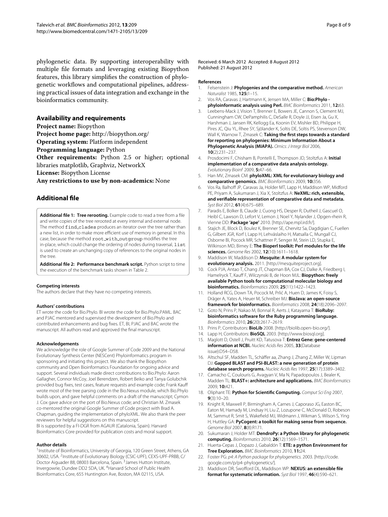phylogenetic data. By supporting interoperability with multiple file formats and leveraging existing Biopython features, this library simplifies the construction of phylogenetic workflows and computational pipelines, addressing practical issues of data integration and exchange in the bioinformatics community.

### **Availability and requirements**

**Project name:** Biopython

**Project home page:** <http://biopython.org/>

**Operating system:** Platform independent

**Programming language:** Python

**Other requirements:** Python 2.5 or higher; optional libraries matplotlib, Graphviz, NetworkX

**License:** Biopython License

#### **Any restrictions to use by non-academics:** None

## **Additional file**

<span id="page-7-22"></span>**[Additional file 1:](http://www.biomedcentral.com/content/supplementary/1471-2105-13-209-S1.py) Tree rerooting.** Example code to read a tree from a file and write copies of the tree rerooted at every internal and external node. The method find\_clades produces an iterator over the tree rather than a new list, in order to make more efficient use of memory in general. In this case, because the method root\_with\_outgroup modifies the tree in-place, which could change the ordering of nodes during traversal, list is used to create an unchanging copy of references to the original nodes in the tree.

<span id="page-7-23"></span>**[Additional file 2:](http://www.biomedcentral.com/content/supplementary/1471-2105-13-209-S2.py) Performance benchmark script.** Python script to time the execution of the benchmark tasks shown in Table [2.](#page-6-0)

#### **Competing interests**

The authors declare that they have no competing interests.

#### **Authors' contributions**

ET wrote the code for Bio.Phylo. BI wrote the code for Bio.Phylo.PAML. BAC and PJAC mentored and supervised the development of Bio.Phylo and contributed enhancements and bug fixes. ET, BI, PJAC and BAC wrote the manuscript. All authors read and approved the final manuscript.

#### **Acknowledgements**

We acknowledge the role of Google Summer of Code 2009 and the National Evolutionary Synthesis Center (NESCent) Phyloinformatics program in sponsoring and initiating this project. We also thank the Biopython community and Open Bioinformatics Foundation for ongoing advice and support. Several individuals made direct contributions to Bio.Phylo: Aaron Gallagher, Connor McCoy, Joel Berendzen, Robert Beiko and Tanya Golubchik provided bug fixes, test cases, feature requests and example code; Frank Kauff wrote most of the tree parsing code in the Bio.Nexus module, which Bio.Phylo builds upon, and gave helpful comments on a draft of the manuscript; Cymon J. Cox gave advice on the port of Bio.Nexus code; and Christian M. Zmasek co-mentored the original Google Summer of Code project with Brad A. Chapman, guiding the implementation of phyloXML. We also thank the peer reviewers for helpful suggestions on this manuscript. BI is supported by a FI-DGR from AGAUR (Catalonia, Spain). Harvard Bioinformatics Core provided for publication costs and moral support.

#### **Author details**

<sup>1</sup> Institute of Bioinformatics, University of Georgia, 120 Green Street, Athens, GA 30602, USA. 2Institute of Evolutionary Biology (CSIC-UPF), CEXS-UPF-PRBB, C/ Doctor Aiguader 88, 08003 Barcelona, Spain.<sup>3</sup> James Hutton Institute, Invergowrie, Dundee DD2 5DA, UK. 4Harvard School of Public Health Bioinformatics Core, 655 Huntington Ave, Boston, MA 02115, USA.

Received: 6 March 2012 Accepted: 8 August 2012 Published: 21 August 2012

#### **References**

- <span id="page-7-0"></span>1. Felsenstein J: **Phylogenies and the comparative method.** American Naturalist 1985, **125:**1–15.
- <span id="page-7-1"></span>2. Vos RA, Caravas J, Hartmann K, Jensen MA, Miller C: **Bio:Phylo phyloinformatic analysis using Perl.** BMC Bioinformatics 2011, **12:**63.
- <span id="page-7-2"></span>3. Leebens-Mack J, Vision T, Brenner E, Bowers JE, Cannon S, Clement MJ, Cunningham CW, DePamphilis C, DeSalle R, Doyle JJ, Eisen Ja, Gu X, Harshman J, Jansen RK, Kellogg Ea, Koonin EV, Mishler BD, Philippe H, Pires JC, Qiu YL, Rhee SY, Sjölander K, Soltis DE, Soltis PS, Stevenson DW, Wall K, Warnow T, Zmasek C: **Taking the first steps towards a standard for reporting on phylogenies: Minimum Information About a Phylogenetic Analysis (MIAPA).** Omics: J Integr Biol 2006, **10**(2):231–237.
- 4. Prosdocimi F, Chisham B, Pontelli E, Thompson JD, Stoltzfus A: **Initial implementation of a comparative data analysis ontology.** Evolutionary Bioinf 2009, **5:**47–66.
- <span id="page-7-21"></span>5. Han MV, Zmasek CM: **phyloXML: XML for evolutionary biology and comparative genomics.** BMC Bioinformatics 2009, **10:**356.
- <span id="page-7-3"></span>6. Vos Ra, Balhoff JP, Caravas Ja, Holder MT, Lapp H, Maddison WP, Midford PE, Priyam A, Sukumaran J, Xia X, Stoltzfus A: **NeXML: rich, extensible, and verifiable representation of comparative data and metadata.** Syst Biol 2012, **61**(4):675–689.
- <span id="page-7-4"></span>7. Paradis E, Bolker B, Claude J, Cuong HS, Desper R, Dutheil J, Gascuel O, Heibl C, Lawson D, Lefort V, Lemon J, Noel Y, Nylander J, Opgen-rhein R, Vienne DD: **Package 'ape'** 2010. [\[http://ape.mpl.ird.fr/\]](http://ape.mpl.ird.fr/).
- <span id="page-7-5"></span>8. Stajich JE, Block D, Boulez K, Brenner SE, Chervitz Sa, Dagdigian C, Fuellen G, Gilbert JGR, Korf I, Lapp H, Lehvaslaiho H, Matsalla C, Mungall CJ, ¨ Osborne BI, Pocock MR, Schattner P, Senger M, Stein LD, Stupka E, Wilkinson MD, Birney E: **The Bioperl toolkit: Perl modules for the life sciences.** Genome Res 2002, **12**(10):1611–1618.
- <span id="page-7-6"></span>9. Maddison W, Maddison D: **Mesquite: A modular system for evolutionary analysis.** 2011. [\[http://mesquiteproject.org\]](http://mesquiteproject.org).
- <span id="page-7-7"></span>10. Cock PJA, Antao T, Chang JT, Chapman BA, Cox CJ, Dalke A, Friedberg I, Hamelryck T, Kauff F, Wilczynski B, de Hoon MJL: **Biopython: freely available Python tools for computational molecular biology and bioinformatics.** Bioinformatics 2009, **25**(11):1422–1423.
- <span id="page-7-8"></span>11. Holland RCG, Down TA, Pocock M, Prlić A, Huen D, James K, Foisy S, Dräger A, Yates A, Heuer M, Schreiber MJ: **BioJava: an open-source framework for bioinformatics.** Bioinformatics 2008, **24**(18):2096–2097.
- <span id="page-7-9"></span>12. Goto N, Prins P, Nakao M, Bonnal R, Aerts J, Katayama T: **BioRuby: bioinformatics software for the Ruby programming language.** Bioinformatics 2010, **26**(20):2617–2619.
- <span id="page-7-10"></span>13. Prins P, Contributors: **BioLib** 2008. [\[http://biolib.open-bio.org/\]](http://biolib.open-bio.org/).
- <span id="page-7-11"></span>14. Lapp H, Contributors: **BioSQL** 2003. [\[http://www.biosql.org\]](http://www.biosql.org).
- <span id="page-7-12"></span>15. Maglott D, Ostell J, Pruitt KD, Tatusova T: **Entrez Gene: gene-centered information at NCBI.** Nucleic Acids Res 2005, **33**(Database issue):D54–D58.
- <span id="page-7-13"></span>16. Altschul SF, Madden TL, Schaffer aa, Zhang J, Zhang Z, Miller W, Lipman ¨ DJ: **Gapped BLAST and PSI-BLAST: a new generation of protein database search programs.** Nucleic Acids Res 1997, **25**(17):3389–3402.
- <span id="page-7-14"></span>17. Camacho C, Coulouris G, Avagyan V, Ma N, Papadopoulos J, Bealer K, Madden TL: **BLAST+: architecture and applications.** BMC Bioinformatics 2009, **10:**421.
- <span id="page-7-15"></span>18. Oliphant TE: **Python for Scientific Computing.** Comput Sci Eng 2007, **9**(3):10–20.
- <span id="page-7-16"></span>19. Knight R, Maxwell P, Birmingham A, Carnes J, Caporaso JG, Easton BC, Eaton M, Hamady M, Lindsay H, Liu Z, Lozupone C, McDonald D, Robeson M, Sammut R, Smit S, Wakefield MJ, Widmann J, Wikman S, Wilson S, Ying H, Huttley GA: **PyCogent: a toolkit for making sense from sequence.** Genome Biol 2007, **8**(8):R171.
- <span id="page-7-17"></span>20. Sukumaran J, Holder MT: **DendroPy: a Python library for phylogenetic computing.** Bioinformatics 2010, **26**(12):1569–1571.
- <span id="page-7-18"></span>21. Huerta-Cepas J, Dopazo J, Gabaldón T: **ETE: a python Environment for Tree Exploration.** BMC Bioinformatics 2010, **11:**24.
- <span id="page-7-19"></span>22. Foster PG: p4: A Python package for phylogenetics. 2003. [\[http://code.](http://code.google.com/p/p4-phylogenetics/) [google.com/p/p4-phylogenetics/\]](http://code.google.com/p/p4-phylogenetics/).
- <span id="page-7-20"></span>23. Maddison DR, Swofford DL, Maddison WP: **NEXUS: an extensible file format for systematic information.** Syst Biol 1997, **46**(4):590–621.